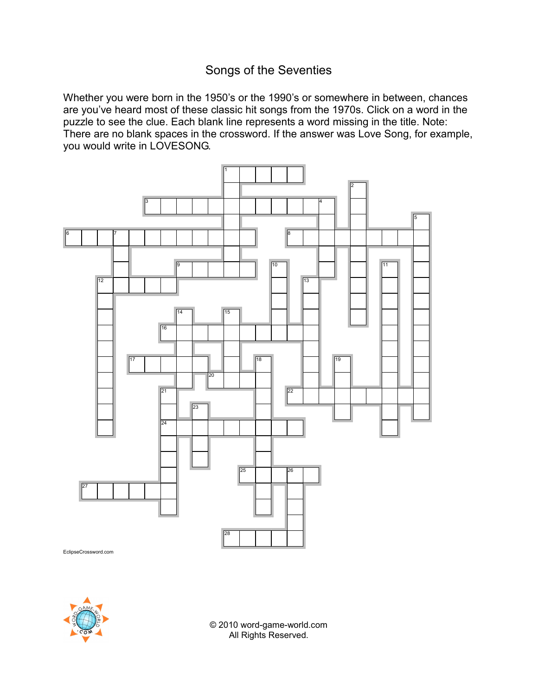## Songs of the Seventies

Whether you were born in the 1950's or the 1990's or somewhere in between, chances are you've heard most of these classic hit songs from the 1970s. Click on a word in the puzzle to see the clue. Each blank line represents a word missing in the title. Note: There are no blank spaces in the crossword. If the answer was Love Song, for example, you would write in LOVESONG.



EclipseCrossword.com



© 2010 word-game-world.com All Rights Reserved.